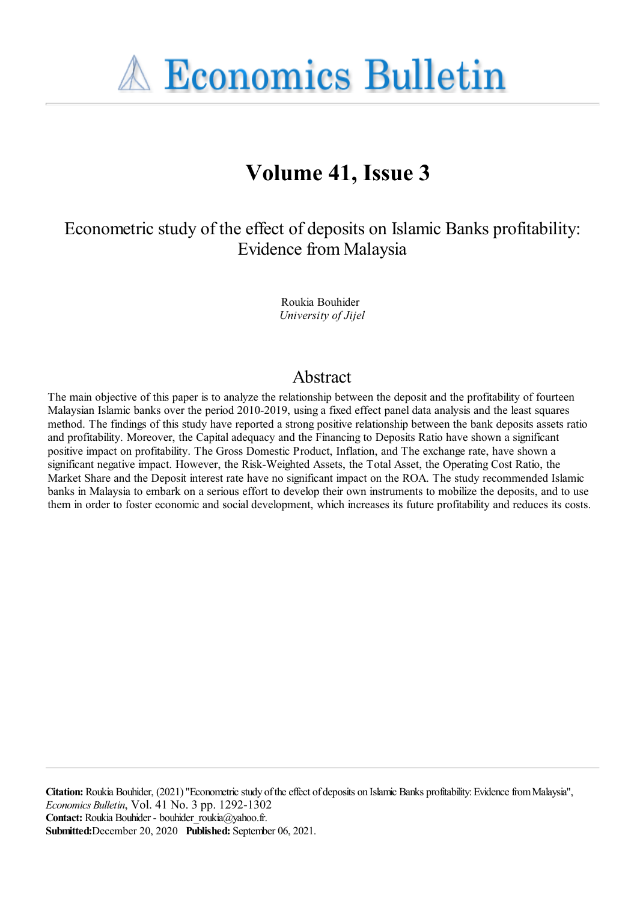**A Economics Bulletin** 

# **Volume 41, Issue 3**

Econometric study of the effect of deposits on Islamic Banks profitability: Evidence from Malaysia

> Roukia Bouhider *University of Jijel*

## Abstract

The main objective of this paper is to analyze the relationship between the deposit and the profitability of fourteen Malaysian Islamic banks over the period 2010-2019, using a fixed effect panel data analysis and the least squares method. The findings of this study have reported a strong positive relationship between the bank deposits assets ratio and profitability. Moreover, the Capital adequacy and the Financing to Deposits Ratio have shown a significant positive impact on profitability. The Gross Domestic Product, Inflation, and The exchange rate, have shown a significant negative impact. However, the Risk-Weighted Assets, the Total Asset, the Operating Cost Ratio, the Market Share and the Deposit interest rate have no significant impact on the ROA. The study recommended Islamic banks in Malaysia to embark on a serious effort to develop their own instruments to mobilize the deposits, and to use them in order to foster economic and social development, which increases its future profitability and reduces its costs.

Citation: Roukia Bouhider, (2021) "Econometric study of the effect of deposits on Islamic Banks profitability: Evidence from Malaysia", *Economics Bulletin*, Vol. 41 No. 3 pp. 1292-1302 Contact: Roukia Bouhider - bouhider roukia@yahoo.fr. **Submitted:**December 20, 2020 **Published:** September 06, 2021.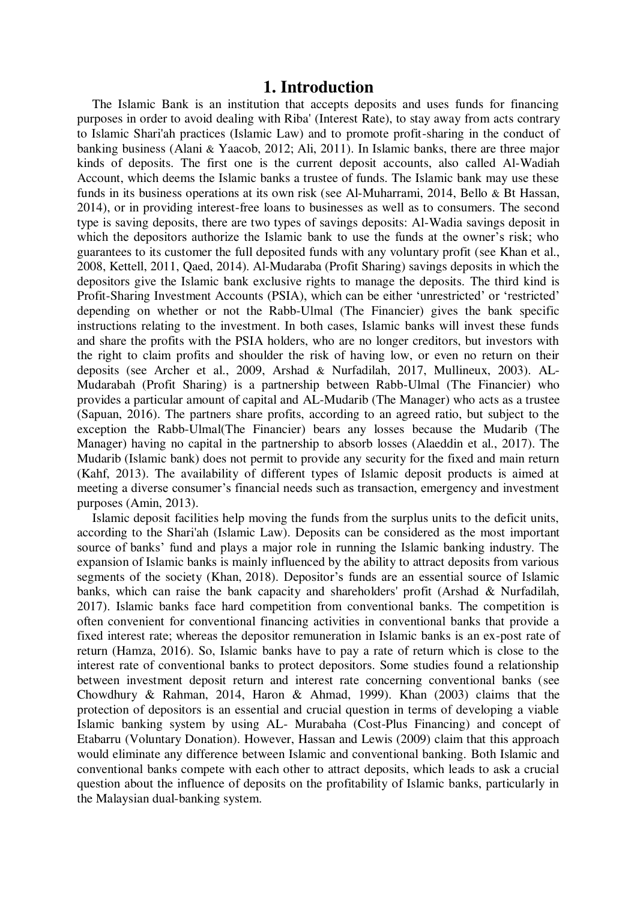#### **1. Introduction**

The Islamic Bank is an institution that accepts deposits and uses funds for financing purposes in order to avoid dealing with Riba' (Interest Rate), to stay away from acts contrary to Islamic Shari'ah practices (Islamic Law) and to promote profit-sharing in the conduct of banking business (Alani & Yaacob, 2012; Ali, 2011). In Islamic banks, there are three major kinds of deposits. The first one is the current deposit accounts, also called Al-Wadiah Account, which deems the Islamic banks a trustee of funds. The Islamic bank may use these funds in its business operations at its own risk (see Al-Muharrami, 2014, Bello & Bt Hassan, 2014), or in providing interest-free loans to businesses as well as to consumers. The second type is saving deposits, there are two types of savings deposits: Al-Wadia savings deposit in which the depositors authorize the Islamic bank to use the funds at the owner's risk; who guarantees to its customer the full deposited funds with any voluntary profit (see Khan et al., 2008, Kettell, 2011, Qaed, 2014). Al-Mudaraba (Profit Sharing) savings deposits in which the depositors give the Islamic bank exclusive rights to manage the deposits. The third kind is Profit-Sharing Investment Accounts (PSIA), which can be either 'unrestricted' or 'restricted' depending on whether or not the Rabb-Ulmal (The Financier) gives the bank specific instructions relating to the investment. In both cases, Islamic banks will invest these funds and share the profits with the PSIA holders, who are no longer creditors, but investors with the right to claim profits and shoulder the risk of having low, or even no return on their deposits (see Archer et al., 2009, Arshad & Nurfadilah, 2017, Mullineux, 2003). AL-Mudarabah (Profit Sharing) is a partnership between Rabb-Ulmal (The Financier) who provides a particular amount of capital and AL-Mudarib (The Manager) who acts as a trustee (Sapuan, 2016). The partners share profits, according to an agreed ratio, but subject to the exception the Rabb-Ulmal(The Financier) bears any losses because the Mudarib (The Manager) having no capital in the partnership to absorb losses (Alaeddin et al., 2017). The Mudarib (Islamic bank) does not permit to provide any security for the fixed and main return (Kahf, 2013). The availability of different types of Islamic deposit products is aimed at meeting a diverse consumer's financial needs such as transaction, emergency and investment purposes (Amin, 2013).

Islamic deposit facilities help moving the funds from the surplus units to the deficit units, according to the Shari'ah (Islamic Law). Deposits can be considered as the most important source of banks' fund and plays a major role in running the Islamic banking industry. The expansion of Islamic banks is mainly influenced by the ability to attract deposits from various segments of the society (Khan, 2018). Depositor's funds are an essential source of Islamic banks, which can raise the bank capacity and shareholders' profit (Arshad & Nurfadilah, 2017). Islamic banks face hard competition from conventional banks. The competition is often convenient for conventional financing activities in conventional banks that provide a fixed interest rate; whereas the depositor remuneration in Islamic banks is an ex-post rate of return (Hamza, 2016). So, Islamic banks have to pay a rate of return which is close to the interest rate of conventional banks to protect depositors. Some studies found a relationship between investment deposit return and interest rate concerning conventional banks (see Chowdhury & Rahman, 2014, Haron & Ahmad, 1999). Khan (2003) claims that the protection of depositors is an essential and crucial question in terms of developing a viable Islamic banking system by using AL- Murabaha (Cost-Plus Financing) and concept of Etabarru (Voluntary Donation). However, Hassan and Lewis (2009) claim that this approach would eliminate any difference between Islamic and conventional banking. Both Islamic and conventional banks compete with each other to attract deposits, which leads to ask a crucial question about the influence of deposits on the profitability of Islamic banks, particularly in the Malaysian dual-banking system.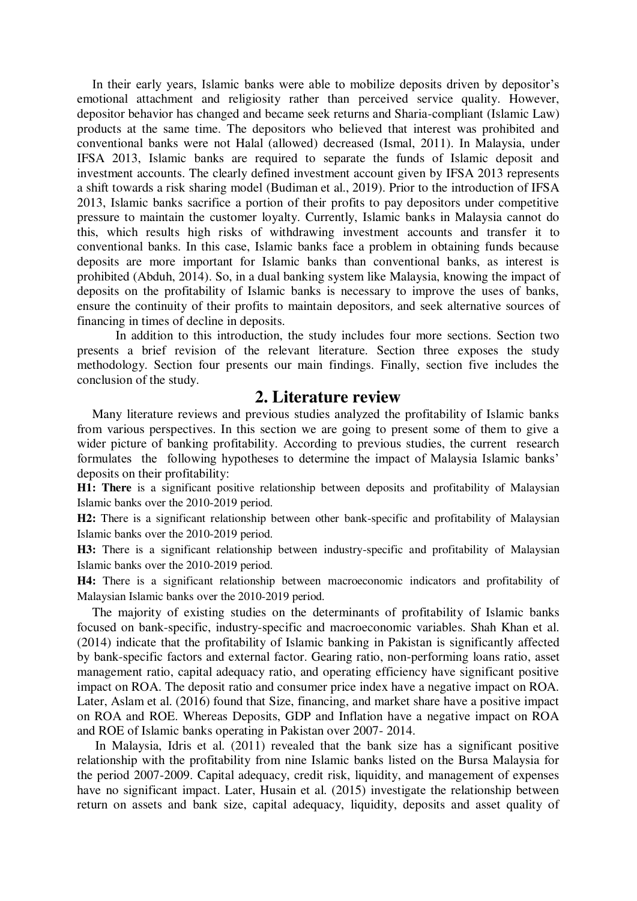In their early years, Islamic banks were able to mobilize deposits driven by depositor's emotional attachment and religiosity rather than perceived service quality. However, depositor behavior has changed and became seek returns and Sharia-compliant (Islamic Law) products at the same time. The depositors who believed that interest was prohibited and conventional banks were not Halal (allowed) decreased (Ismal, 2011). In Malaysia, under IFSA 2013, Islamic banks are required to separate the funds of Islamic deposit and investment accounts. The clearly defined investment account given by IFSA 2013 represents a shift towards a risk sharing model (Budiman et al., 2019). Prior to the introduction of IFSA 2013, Islamic banks sacrifice a portion of their profits to pay depositors under competitive pressure to maintain the customer loyalty. Currently, Islamic banks in Malaysia cannot do this, which results high risks of withdrawing investment accounts and transfer it to conventional banks. In this case, Islamic banks face a problem in obtaining funds because deposits are more important for Islamic banks than conventional banks, as interest is prohibited (Abduh, 2014). So, in a dual banking system like Malaysia, knowing the impact of deposits on the profitability of Islamic banks is necessary to improve the uses of banks, ensure the continuity of their profits to maintain depositors*,* and seek alternative sources of financing in times of decline in deposits.

In addition to this introduction, the study includes four more sections. Section two presents a brief revision of the relevant literature. Section three exposes the study methodology. Section four presents our main findings. Finally, section five includes the conclusion of the study.

### **2. Literature review**

Many literature reviews and previous studies analyzed the profitability of Islamic banks from various perspectives. In this section we are going to present some of them to give a wider picture of banking profitability. According to previous studies, the current research formulates the following hypotheses to determine the impact of Malaysia Islamic banks' deposits on their profitability:

**H1: There** is a significant positive relationship between deposits and profitability of Malaysian Islamic banks over the 2010-2019 period.

**H2:** There is a significant relationship between other bank-specific and profitability of Malaysian Islamic banks over the 2010-2019 period.

**H3:** There is a significant relationship between industry-specific and profitability of Malaysian Islamic banks over the 2010-2019 period.

**H4:** There is a significant relationship between macroeconomic indicators and profitability of Malaysian Islamic banks over the 2010-2019 period.

The majority of existing studies on the determinants of profitability of Islamic banks focused on bank-specific, industry-specific and macroeconomic variables. Shah Khan et al. (2014) indicate that the profitability of Islamic banking in Pakistan is significantly affected by bank-specific factors and external factor. Gearing ratio, non-performing loans ratio, asset management ratio, capital adequacy ratio, and operating efficiency have significant positive impact on ROA. The deposit ratio and consumer price index have a negative impact on ROA. Later, Aslam et al. (2016) found that Size, financing, and market share have a positive impact on ROA and ROE. Whereas Deposits, GDP and Inflation have a negative impact on ROA and ROE of Islamic banks operating in Pakistan over 2007- 2014.

 In Malaysia, Idris et al. (2011) revealed that the bank size has a significant positive relationship with the profitability from nine Islamic banks listed on the Bursa Malaysia for the period 2007-2009. Capital adequacy, credit risk, liquidity, and management of expenses have no significant impact. Later, Husain et al. (2015) investigate the relationship between return on assets and bank size, capital adequacy, liquidity, deposits and asset quality of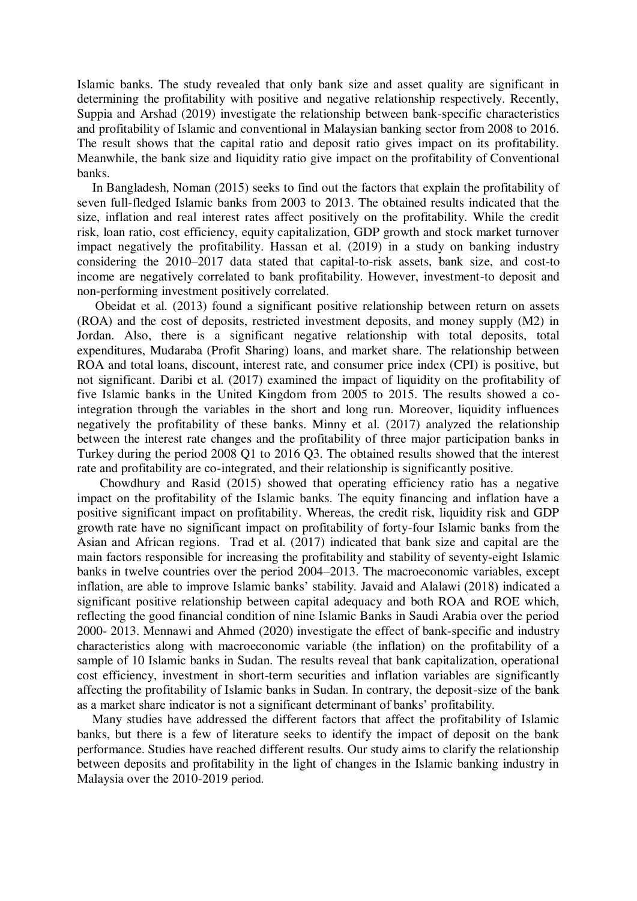Islamic banks. The study revealed that only bank size and asset quality are significant in determining the profitability with positive and negative relationship respectively. Recently, Suppia and Arshad (2019) investigate the relationship between bank-specific characteristics and profitability of Islamic and conventional in Malaysian banking sector from 2008 to 2016. The result shows that the capital ratio and deposit ratio gives impact on its profitability. Meanwhile, the bank size and liquidity ratio give impact on the profitability of Conventional banks.

In Bangladesh, Noman (2015) seeks to find out the factors that explain the profitability of seven full-fledged Islamic banks from 2003 to 2013. The obtained results indicated that the size, inflation and real interest rates affect positively on the profitability. While the credit risk, loan ratio, cost efficiency, equity capitalization, GDP growth and stock market turnover impact negatively the profitability. Hassan et al. (2019) in a study on banking industry considering the 2010–2017 data stated that capital-to-risk assets, bank size, and cost-to income are negatively correlated to bank profitability. However, investment-to deposit and non-performing investment positively correlated.

 Obeidat et al. (2013) found a significant positive relationship between return on assets (ROA) and the cost of deposits, restricted investment deposits, and money supply (M2) in Jordan. Also, there is a significant negative relationship with total deposits, total expenditures, Mudaraba (Profit Sharing) loans, and market share. The relationship between ROA and total loans, discount, interest rate, and consumer price index (CPI) is positive, but not significant. Daribi et al. (2017) examined the impact of liquidity on the profitability of five Islamic banks in the United Kingdom from 2005 to 2015. The results showed a cointegration through the variables in the short and long run. Moreover, liquidity influences negatively the profitability of these banks. Minny et al. (2017) analyzed the relationship between the interest rate changes and the profitability of three major participation banks in Turkey during the period 2008 Q1 to 2016 Q3. The obtained results showed that the interest rate and profitability are co-integrated, and their relationship is significantly positive.

Chowdhury and Rasid (2015) showed that operating efficiency ratio has a negative impact on the profitability of the Islamic banks. The equity financing and inflation have a positive significant impact on profitability. Whereas, the credit risk, liquidity risk and GDP growth rate have no significant impact on profitability of forty-four Islamic banks from the Asian and African regions. Trad et al. (2017) indicated that bank size and capital are the main factors responsible for increasing the profitability and stability of seventy-eight Islamic banks in twelve countries over the period 2004–2013. The macroeconomic variables, except inflation, are able to improve Islamic banks' stability. Javaid and Alalawi (2018) indicated a significant positive relationship between capital adequacy and both ROA and ROE which, reflecting the good financial condition of nine Islamic Banks in Saudi Arabia over the period 2000- 2013. Mennawi and Ahmed (2020) investigate the effect of bank-specific and industry characteristics along with macroeconomic variable (the inflation) on the profitability of a sample of 10 Islamic banks in Sudan. The results reveal that bank capitalization, operational cost efficiency, investment in short-term securities and inflation variables are significantly affecting the profitability of Islamic banks in Sudan. In contrary, the deposit-size of the bank as a market share indicator is not a significant determinant of banks' profitability.

Many studies have addressed the different factors that affect the profitability of Islamic banks, but there is a few of literature seeks to identify the impact of deposit on the bank performance. Studies have reached different results. Our study aims to clarify the relationship between deposits and profitability in the light of changes in the Islamic banking industry in Malaysia over the 2010-2019 period.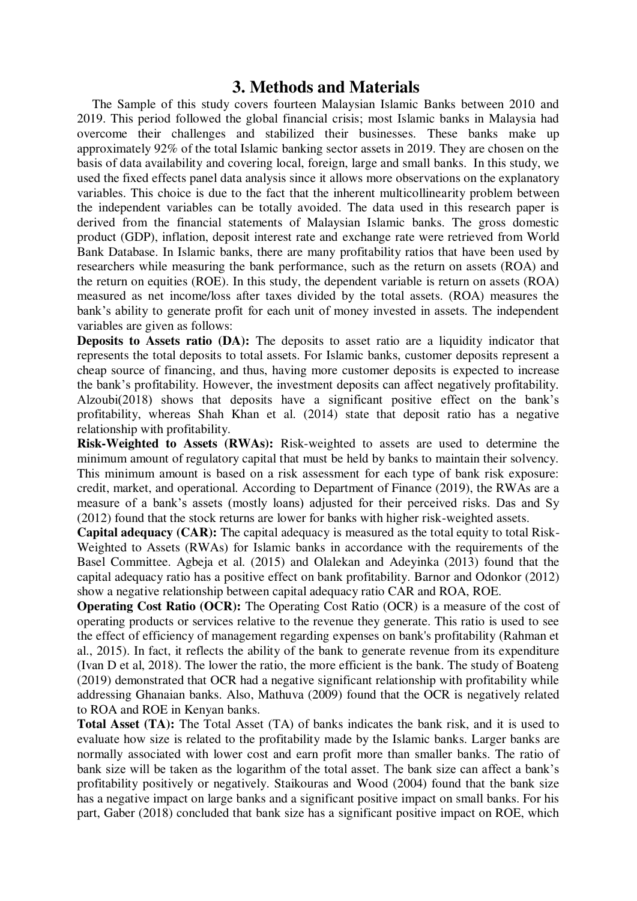## **3. Methods and Materials**

The Sample of this study covers fourteen Malaysian Islamic Banks between 2010 and 2019. This period followed the global financial crisis; most Islamic banks in Malaysia had overcome their challenges and stabilized their businesses. These banks make up approximately 92% of the total Islamic banking sector assets in 2019. They are chosen on the basis of data availability and covering local, foreign, large and small banks. In this study, we used the fixed effects panel data analysis since it allows more observations on the explanatory variables. This choice is due to the fact that the inherent multicollinearity problem between the independent variables can be totally avoided. The data used in this research paper is derived from the financial statements of Malaysian Islamic banks. The gross domestic product (GDP), inflation, deposit interest rate and exchange rate were retrieved from World Bank Database. In Islamic banks, there are many profitability ratios that have been used by researchers while measuring the bank performance, such as the return on assets (ROA) and the return on equities (ROE). In this study, the dependent variable is return on assets (ROA) measured as net income/loss after taxes divided by the total assets. (ROA) measures the bank's ability to generate profit for each unit of money invested in assets. The independent variables are given as follows:

**Deposits to Assets ratio (DA):** The deposits to asset ratio are a liquidity indicator that represents the total deposits to total assets. For Islamic banks, customer deposits represent a cheap source of financing, and thus, having more customer deposits is expected to increase the bank's profitability. However, the investment deposits can affect negatively profitability. Alzoubi(2018) shows that deposits have a significant positive effect on the bank's profitability, whereas Shah Khan et al. (2014) state that deposit ratio has a negative relationship with profitability.

**Risk-Weighted to Assets (RWAs):** Risk-weighted to assets are used to determine the minimum amount of regulatory capital that must be held by banks to maintain their solvency. This minimum amount is based on a risk assessment for each type of bank risk exposure: credit, market, and operational. According to Department of Finance (2019), the RWAs are a measure of a bank's assets (mostly loans) adjusted for their perceived risks. Das and Sy (2012) found that the stock returns are lower for banks with higher risk-weighted assets.

**Capital adequacy (CAR):** The capital adequacy is measured as the total equity to total Risk-Weighted to Assets (RWAs) for Islamic banks in accordance with the requirements of the Basel Committee. Agbeja et al. (2015) and Olalekan and Adeyinka (2013) found that the capital adequacy ratio has a positive effect on bank profitability. Barnor and Odonkor (2012) show a negative relationship between capital adequacy ratio CAR and ROA, ROE.

**Operating Cost Ratio (OCR):** The Operating Cost Ratio (OCR) is a measure of the cost of operating products or services relative to the revenue they generate. This ratio is used to see the effect of efficiency of management regarding expenses on bank's profitability (Rahman et al., 2015). In fact, it reflects the ability of the bank to generate revenue from its expenditure (Ivan D et al, 2018). The lower the ratio, the more efficient is the bank. The study of Boateng (2019) demonstrated that OCR had a negative significant relationship with profitability while addressing Ghanaian banks. Also, Mathuva (2009) found that the OCR is negatively related to ROA and ROE in Kenyan banks.

**Total Asset (TA):** The Total Asset (TA) of banks indicates the bank risk, and it is used to evaluate how size is related to the profitability made by the Islamic banks. Larger banks are normally associated with lower cost and earn profit more than smaller banks. The ratio of bank size will be taken as the logarithm of the total asset. The bank size can affect a bank's profitability positively or negatively. Staikouras and Wood (2004) found that the bank size has a negative impact on large banks and a significant positive impact on small banks. For his part, Gaber (2018) concluded that bank size has a significant positive impact on ROE, which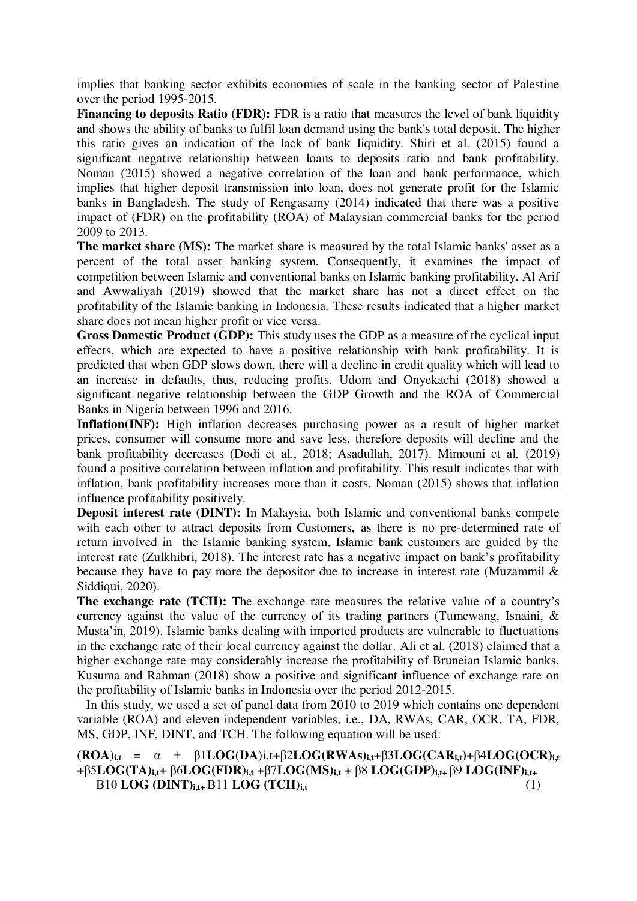implies that banking sector exhibits economies of scale in the banking sector of Palestine over the period 1995-2015.

**Financing to deposits Ratio (FDR):** FDR is a ratio that measures the level of bank liquidity and shows the ability of banks to fulfil loan demand using the bank's total deposit. The higher this ratio gives an indication of the lack of bank liquidity. Shiri et al. (2015) found a significant negative relationship between loans to deposits ratio and bank profitability. Noman (2015) showed a negative correlation of the loan and bank performance, which implies that higher deposit transmission into loan, does not generate profit for the Islamic banks in Bangladesh. The study of Rengasamy (2014) indicated that there was a positive impact of (FDR) on the profitability (ROA) of Malaysian commercial banks for the period 2009 to 2013.

**The market share (MS):** The market share is measured by the total Islamic banks' asset as a percent of the total asset banking system. Consequently, it examines the impact of competition between Islamic and conventional banks on Islamic banking profitability. Al Arif and Awwaliyah (2019) showed that the market share has not a direct effect on the profitability of the Islamic banking in Indonesia. These results indicated that a higher market share does not mean higher profit or vice versa.

**Gross Domestic Product (GDP):** This study uses the GDP as a measure of the cyclical input effects, which are expected to have a positive relationship with bank profitability. It is predicted that when GDP slows down, there will a decline in credit quality which will lead to an increase in defaults, thus, reducing profits. Udom and Onyekachi (2018) showed a significant negative relationship between the GDP Growth and the ROA of Commercial Banks in Nigeria between 1996 and 2016.

**Inflation(INF):** High inflation decreases purchasing power as a result of higher market prices, consumer will consume more and save less, therefore deposits will decline and the bank profitability decreases (Dodi et al., 2018; Asadullah, 2017). Mimouni et al. (2019) found a positive correlation between inflation and profitability. This result indicates that with inflation, bank profitability increases more than it costs. Noman (2015) shows that inflation influence profitability positively.

**Deposit interest rate (DINT):** In Malaysia, both Islamic and conventional banks compete with each other to attract deposits from Customers, as there is no pre-determined rate of return involved in the Islamic banking system, Islamic bank customers are guided by the interest rate (Zulkhibri, 2018). The interest rate has a negative impact on bank's profitability because they have to pay more the depositor due to increase in interest rate (Muzammil  $\&$ Siddiqui, 2020).

**The exchange rate (TCH):** The exchange rate measures the relative value of a country's currency against the value of the currency of its trading partners (Tumewang, Isnaini, & Musta'in, 2019). Islamic banks dealing with imported products are vulnerable to fluctuations in the exchange rate of their local currency against the dollar. Ali et al. (2018) claimed that a higher exchange rate may considerably increase the profitability of Bruneian Islamic banks. Kusuma and Rahman (2018) show a positive and significant influence of exchange rate on the profitability of Islamic banks in Indonesia over the period 2012-2015.

 In this study, we used a set of panel data from 2010 to 2019 which contains one dependent variable (ROA) and eleven independent variables, i.e., DA, RWAs, CAR, OCR, TA, FDR, MS, GDP, INF, DINT, and TCH. The following equation will be used:

 $(ROA)_{i,t} = \alpha + \beta 1LOG(DA)_{i,t} + \beta 2LOG(RWAs)_{i,t} + \beta 3LOG(CAR_{i,t}) + \beta 4LOG(OCR)_{i,t}$ **+**β5**LOG(TA)i,t+** β6**LOG(FDR)i,t +**β7**LOG(MS)i,t +** β8 **LOG(GDP)i,t+** β9 **LOG(INF)i,t+** Β10 **LOG (DINT)i,t+** Β11 **LOG (TCH)i,t** (1)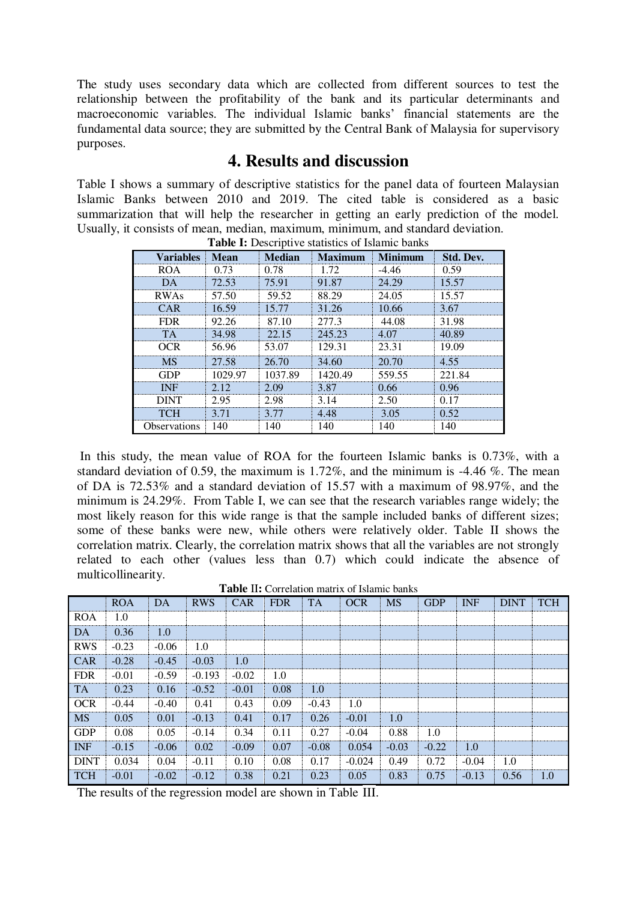The study uses secondary data which are collected from different sources to test the relationship between the profitability of the bank and its particular determinants and macroeconomic variables. The individual Islamic banks' financial statements are the fundamental data source; they are submitted by the Central Bank of Malaysia for supervisory purposes.

## **4. Results and discussion**

Table I shows a summary of descriptive statistics for the panel data of fourteen Malaysian Islamic Banks between 2010 and 2019. The cited table is considered as a basic summarization that will help the researcher in getting an early prediction of the model. Usually, it consists of mean, median, maximum, minimum, and standard deviation. **Table I:** Descriptive statistics of Islamic banks

| <b>Table 1.</b> Descriptive statistics of islamic banks |             |               |                |         |           |  |  |  |
|---------------------------------------------------------|-------------|---------------|----------------|---------|-----------|--|--|--|
| <b>Variables</b>                                        | <b>Mean</b> | <b>Median</b> | <b>Maximum</b> | Minimum | Std. Dev. |  |  |  |
| ROA                                                     | 0.73        | 0.78          | 1.72           | $-4.46$ | 0.59      |  |  |  |
| DA.                                                     | 72.53       | 75.91         | 91.87          | 24.29   | 15.57     |  |  |  |
| <b>RWAs</b>                                             | 57.50       | 59.52         | 88.29          | 24.05   | 15.57     |  |  |  |
| CAR                                                     | 16.59       | 15 77         | 31.26          | 10.66   | 3.67      |  |  |  |
| FDR.                                                    | 92.26       | 87.10         | 277.3          | 44.08   | 31.98     |  |  |  |
| TА                                                      | 34.98       | 22.15         | 245.23         | 4.07    | 40.89     |  |  |  |
| OCR                                                     | 56.96       | 53.07         | 129.31         | 23.31   | 19.09     |  |  |  |
| <b>MS</b>                                               | 27.58       | 26.70         | 34.60          | 20.70   | 4.55      |  |  |  |
| GDP                                                     | 1029.97     | 1037.89       | 1420.49        | 559.55  | 221.84    |  |  |  |
| <b>INF</b>                                              | 212         | 2.09          | 3.87           | 0.66    | 0.96      |  |  |  |
| DINT                                                    | 2.95        | 2.98          | 3.14           | 2.50    | 0.17      |  |  |  |
| <b>TCH</b>                                              | 3 71        | 3.77          | 4.48           | 3.05    | 0.52      |  |  |  |
| <b>Observations</b>                                     | 140         | 140           | 140            | 140     | 140       |  |  |  |

In this study, the mean value of ROA for the fourteen Islamic banks is 0.73%, with a standard deviation of 0.59, the maximum is 1.72%, and the minimum is  $-4.46\%$ . The mean of DA is 72.53% and a standard deviation of 15.57 with a maximum of 98.97%, and the minimum is 24.29%. From Table I, we can see that the research variables range widely; the most likely reason for this wide range is that the sample included banks of different sizes; some of these banks were new, while others were relatively older. Table II shows the correlation matrix. Clearly, the correlation matrix shows that all the variables are not strongly related to each other (values less than 0.7) which could indicate the absence of multicollinearity.

|             | <b>ROA</b> | DA      | <b>RWS</b> | <b>CAR</b> | <b>FDR</b> | <b>TA</b> | <b>OCR</b> | <b>MS</b> | <b>GDP</b> | <b>INF</b> | <b>DINT</b> | <b>TCH</b> |
|-------------|------------|---------|------------|------------|------------|-----------|------------|-----------|------------|------------|-------------|------------|
| <b>ROA</b>  | 1.0        |         |            |            |            |           |            |           |            |            |             |            |
| DA          | 0.36       | 1.0     |            |            |            |           |            |           |            |            |             |            |
| <b>RWS</b>  | $-0.23$    | $-0.06$ | 1.0        |            |            |           |            |           |            |            |             |            |
| <b>CAR</b>  | $-0.28$    | $-0.45$ | $-0.03$    | 1.0        |            |           |            |           |            |            |             |            |
| <b>FDR</b>  | $-0.01$    | $-0.59$ | $-0.193$   | $-0.02$    | 1.0        |           |            |           |            |            |             |            |
| TA.         | 0.23       | 0.16    | $-0.52$    | $-0.01$    | 0.08       | 1.0       |            |           |            |            |             |            |
| <b>OCR</b>  | $-0.44$    | $-0.40$ | 0.41       | 0.43       | 0.09       | $-0.43$   | 1.0        |           |            |            |             |            |
| <b>MS</b>   | 0.05       | 0.01    | $-0.13$    | 0.41       | 0.17       | 0.26      | $-0.01$    | 1.0       |            |            |             |            |
| <b>GDP</b>  | 0.08       | 0.05    | $-0.14$    | 0.34       | 0.11       | 0.27      | $-0.04$    | 0.88      | 1.0        |            |             |            |
| <b>INF</b>  | $-0.15$    | $-0.06$ | 0.02       | $-0.09$    | 0.07       | $-0.08$   | 0.054      | $-0.03$   | $-0.22$    | 1.0        |             |            |
| <b>DINT</b> | 0.034      | 0.04    | $-0.11$    | 0.10       | 0.08       | 0.17      | $-0.024$   | 0.49      | 0.72       | $-0.04$    | 1.0         |            |
| <b>TCH</b>  | $-0.01$    | $-0.02$ | $-0.12$    | 0.38       | 0.21       | 0.23      | 0.05       | 0.83      | 0.75       | $-0.13$    | 0.56        | 1.0        |

**Table** II**:** Correlation matrix of Islamic banks

The results of the regression model are shown in Table III.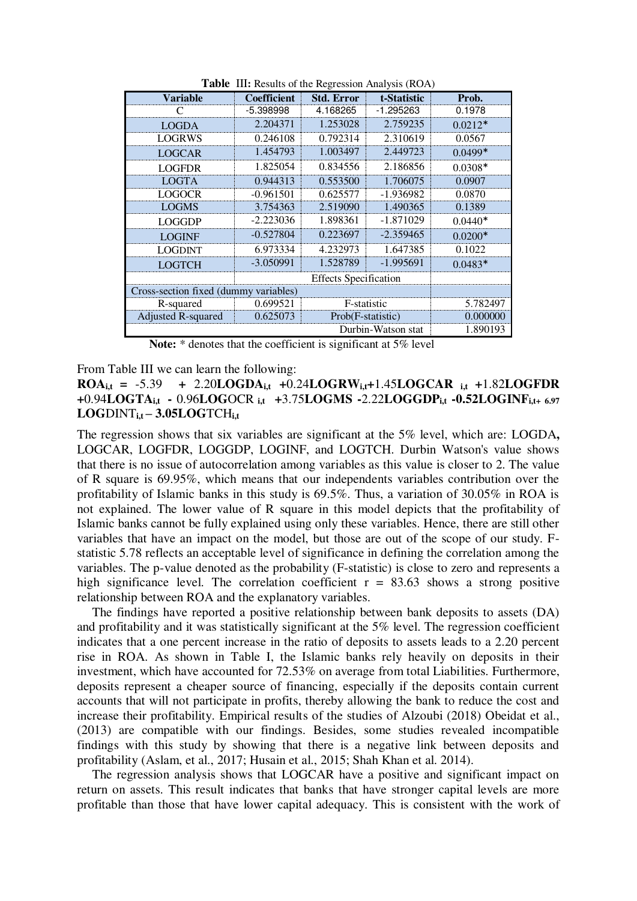| <b>Variable</b>                       | <b>Coefficient</b><br><b>Std. Error</b> |                   | t-Statistic | Prob.     |
|---------------------------------------|-----------------------------------------|-------------------|-------------|-----------|
| €                                     | -5.398998                               | 4.168265          | -1.295263   | 0.1978    |
| <b>LOGDA</b>                          | 2.204371                                | 1.253028          | 2.759235    | $0.0212*$ |
| <b>LOGRWS</b>                         | 0.246108                                | 0.792314          | 2.310619    | 0.0567    |
| <b>LOGCAR</b>                         | 1.454793                                | 1.003497          | 2.449723    | $0.0499*$ |
| <b>LOGFDR</b>                         | 1.825054                                | 0.834556          | 2.186856    | $0.0308*$ |
| LOGTA                                 | 0.944313                                | 0.553500          | 1.706075    | 0.0907    |
| LOGOCR                                | $-0.961501$                             | 0.625577          | -1.936982   | 0.0870    |
| <b>LOGMS</b>                          | 3.754363                                | 2.519090          | 1.490365    | 0.1389    |
| <b>LOGGDP</b>                         | $-2.223036$                             | 1.898361          | -1.871029   | $0.0440*$ |
| <b>LOGINF</b>                         | $-0.527804$                             | 0.223697          | $-2.359465$ | $0.0200*$ |
| <b>LOGDINT</b>                        | 6.973334                                | 4.232973          | 1.647385    | 0.1022    |
| <b>LOGTCH</b>                         | $-3.050991$                             | 1.528789          | -1.995691   | $0.0483*$ |
|                                       |                                         |                   |             |           |
| Cross-section fixed (dummy variables) |                                         |                   |             |           |
| R-squared                             | 0.699521                                | F-statistic       |             | 5.782497  |
| Adjusted R-squared                    | 0.625073                                | Prob(F-statistic) | 0.000000    |           |
|                                       | 1.890193                                |                   |             |           |

**Table III:** Results of the Regression Analysis (ROA)

**Note:** \* denotes that the coefficient is significant at 5% level

From Table III we can learn the following:

**ROA**<sub>it</sub> =  $-5.39$  +  $2.20$ **LOGDA**<sub>it</sub>  $+0.24$ **LOGRW**<sub>it</sub> $+1.45$ **LOGCAR**<sub>it</sub>  $+1.82$ **LOGFDR +**0.94**LOGTAi,t -** 0.96**LOG**OCR **i,t +**3.75**LOGMS -**2.22**LOGGDPi,t -0.52LOGINFi,t+ 6.97 LOG**DINT**i,t – 3.05LOG**TCH**i,t** 

The regression shows that six variables are significant at the 5% level, which are: LOGDA**,**  LOGCAR, LOGFDR, LOGGDP, LOGINF, and LOGTCH. Durbin Watson's value shows that there is no issue of autocorrelation among variables as this value is closer to 2. The value of R square is 69.95%, which means that our independents variables contribution over the profitability of Islamic banks in this study is 69.5%. Thus, a variation of 30.05% in ROA is not explained. The lower value of R square in this model depicts that the profitability of Islamic banks cannot be fully explained using only these variables. Hence, there are still other variables that have an impact on the model, but those are out of the scope of our study. Fstatistic 5.78 reflects an acceptable level of significance in defining the correlation among the variables. The p-value denoted as the probability (F-statistic) is close to zero and represents a high significance level. The correlation coefficient  $r = 83.63$  shows a strong positive relationship between ROA and the explanatory variables.

The findings have reported a positive relationship between bank deposits to assets (DA) and profitability and it was statistically significant at the 5% level. The regression coefficient indicates that a one percent increase in the ratio of deposits to assets leads to a 2.20 percent rise in ROA. As shown in Table I, the Islamic banks rely heavily on deposits in their investment, which have accounted for 72.53% on average from total Liabilities. Furthermore, deposits represent a cheaper source of financing, especially if the deposits contain current accounts that will not participate in profits, thereby allowing the bank to reduce the cost and increase their profitability. Empirical results of the studies of Alzoubi (2018) Obeidat et al., (2013) are compatible with our findings. Besides, some studies revealed incompatible findings with this study by showing that there is a negative link between deposits and profitability (Aslam, et al., 2017; Husain et al., 2015; Shah Khan et al. 2014).

The regression analysis shows that LOGCAR have a positive and significant impact on return on assets. This result indicates that banks that have stronger capital levels are more profitable than those that have lower capital adequacy. This is consistent with the work of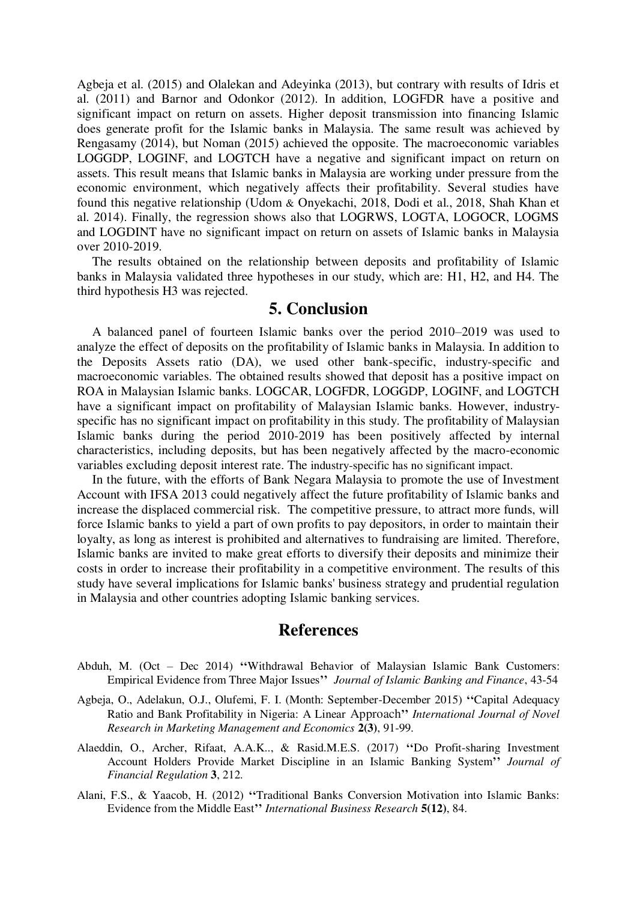Agbeja et al. (2015) and Olalekan and Adeyinka (2013), but contrary with results of Idris et al. (2011) and Barnor and Odonkor (2012). In addition, LOGFDR have a positive and significant impact on return on assets. Higher deposit transmission into financing Islamic does generate profit for the Islamic banks in Malaysia. The same result was achieved by Rengasamy (2014), but Noman (2015) achieved the opposite. The macroeconomic variables LOGGDP, LOGINF, and LOGTCH have a negative and significant impact on return on assets. This result means that Islamic banks in Malaysia are working under pressure from the economic environment, which negatively affects their profitability. Several studies have found this negative relationship (Udom & Onyekachi, 2018, Dodi et al., 2018, Shah Khan et al. 2014). Finally, the regression shows also that LOGRWS, LOGTA, LOGOCR, LOGMS and LOGDINT have no significant impact on return on assets of Islamic banks in Malaysia over 2010-2019.

The results obtained on the relationship between deposits and profitability of Islamic banks in Malaysia validated three hypotheses in our study, which are: H1, H2, and H4. The third hypothesis H3 was rejected.

## **5. Conclusion**

A balanced panel of fourteen Islamic banks over the period 2010–2019 was used to analyze the effect of deposits on the profitability of Islamic banks in Malaysia. In addition to the Deposits Assets ratio (DA), we used other bank-specific, industry-specific and macroeconomic variables. The obtained results showed that deposit has a positive impact on ROA in Malaysian Islamic banks. LOGCAR, LOGFDR, LOGGDP, LOGINF, and LOGTCH have a significant impact on profitability of Malaysian Islamic banks. However, industryspecific has no significant impact on profitability in this study. The profitability of Malaysian Islamic banks during the period 2010-2019 has been positively affected by internal characteristics, including deposits, but has been negatively affected by the macro-economic variables excluding deposit interest rate. The industry-specific has no significant impact.

In the future, with the efforts of Bank Negara Malaysia to promote the use of Investment Account with IFSA 2013 could negatively affect the future profitability of Islamic banks and increase the displaced commercial risk. The competitive pressure, to attract more funds, will force Islamic banks to yield a part of own profits to pay depositors, in order to maintain their loyalty, as long as interest is prohibited and alternatives to fundraising are limited. Therefore, Islamic banks are invited to make great efforts to diversify their deposits and minimize their costs in order to increase their profitability in a competitive environment. The results of this study have several implications for Islamic banks' business strategy and prudential regulation in Malaysia and other countries adopting Islamic banking services.

### **References**

- Abduh, M. (Oct Dec 2014) **''**Withdrawal Behavior of Malaysian Islamic Bank Customers: Empirical Evidence from Three Major Issues**''** *Journal of Islamic Banking and Finance*, 43-54
- Agbeja, O., Adelakun, O.J., Olufemi, F. I. (Month: September-December 2015) **''**Capital Adequacy Ratio and Bank Profitability in Nigeria: A Linear Approach**''** *International Journal of Novel Research in Marketing Management and Economics* **2(3)**, 91-99.
- Alaeddin, O., Archer, Rifaat, A.A.K.., & Rasid.M.E.S. (2017) **''**Do Profit-sharing Investment Account Holders Provide Market Discipline in an Islamic Banking System**''** *Journal of Financial Regulation* **3**, 212.
- Alani, F.S., & Yaacob, H. (2012) **''**Traditional Banks Conversion Motivation into Islamic Banks: Evidence from the Middle East**''** *International Business Research* **5(12)**, 84.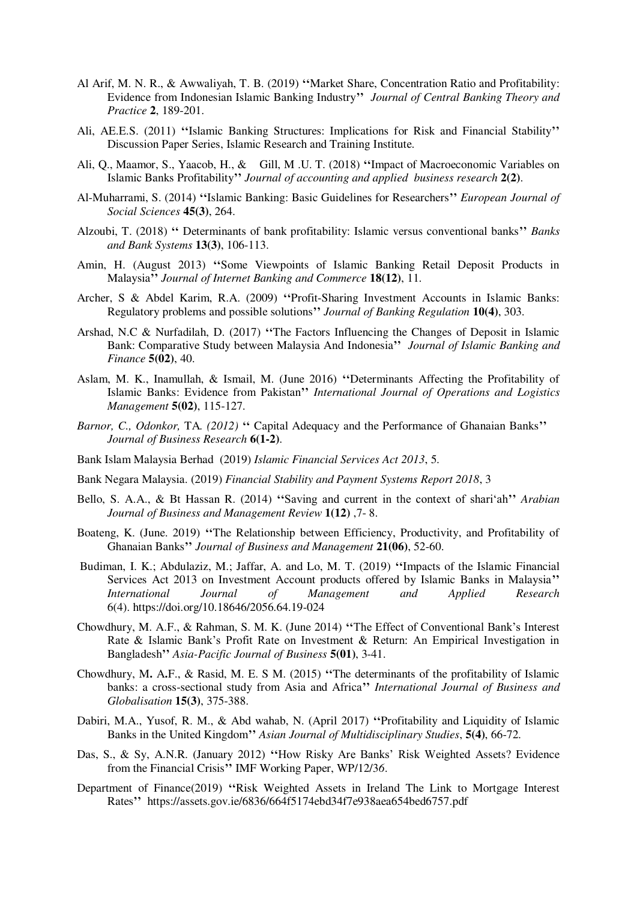- Al Arif, M. N. R., & Awwaliyah, T. B. (2019) **''**Market Share, Concentration Ratio and Profitability: Evidence from Indonesian Islamic Banking Industry**''** *Journal of Central Banking Theory and Practice* **2**, 189-201.
- Ali, AE.E.S. (2011) **''**Islamic Banking Structures: Implications for Risk and Financial Stability**''** Discussion Paper Series, Islamic Research and Training Institute.
- Ali, Q., Maamor, S., Yaacob, H., & Gill, M .U. T. (2018) **''**Impact of Macroeconomic Variables on Islamic Banks Profitability**''** *Journal of accounting and applied business research* **2(2)**.
- Al-Muharrami, S. (2014) **''**Islamic Banking: Basic Guidelines for Researchers**''** *European Journal of Social Sciences* **45(3)**, 264.
- Alzoubi, T. (2018) **''** Determinants of bank profitability: Islamic versus conventional banks**''** *Banks and Bank Systems* **13(3)**, 106-113.
- Amin, H. (August 2013) **''**Some Viewpoints of Islamic Banking Retail Deposit Products in Malaysia**''** *Journal of Internet Banking and Commerce* **18(12)**, 11.
- Archer, S & Abdel Karim, R.A. (2009) **''**Profit-Sharing Investment Accounts in Islamic Banks: Regulatory problems and possible solutions**''** *Journal of Banking Regulation* **10(4)**, 303.
- Arshad, N.C & Nurfadilah, D. (2017) **''**The Factors Influencing the Changes of Deposit in Islamic Bank: Comparative Study between Malaysia And Indonesia**''** *Journal of Islamic Banking and Finance* **5(02)**, 40.
- Aslam, M. K., Inamullah, & Ismail, M. (June 2016) **''**Determinants Affecting the Profitability of Islamic Banks: Evidence from Pakistan**''** *International Journal of Operations and Logistics Management* **5(02)**, 115-127.
- *Barnor, C., Odonkor,* TA*. (2012)* **''** Capital Adequacy and the Performance of Ghanaian Banks**''** *Journal of Business Research* **6(1-2)**.
- Bank Islam Malaysia Berhad (2019) *Islamic Financial Services Act 2013*, 5.
- Bank Negara Malaysia. (2019) *Financial Stability and Payment Systems Report 2018*, 3
- Bello, S. A.A., & Bt Hassan R. (2014) **''**Saving and current in the context of shari'ah**''** *Arabian Journal of Business and Management Review* **1(12)** ,7- 8.
- Boateng, K. (June. 2019) **''**The Relationship between Efficiency, Productivity, and Profitability of Ghanaian Banks**''** *Journal of Business and Management* **21(06)**, 52-60.
- Budiman, I. K.; Abdulaziz, M.; Jaffar, A. and Lo, M. T. (2019) **''**Impacts of the Islamic Financial Services Act 2013 on Investment Account products offered by Islamic Banks in Malaysia**''**  *International Journal of Management and Applied Research*  6(4)[. https://doi.org/10.18646/2056.64.19-024](https://doi.org/10.18646/2056.64.19-024)
- Chowdhury, M. A.F., & Rahman, S. M. K. (June 2014) **''**The Effect of Conventional Bank's Interest Rate & Islamic Bank's Profit Rate on Investment & Return: An Empirical Investigation in Bangladesh**''** *Asia-Pacific Journal of Business* **5(01)**, 3-41.
- Chowdhury, M**.** A**.**F., & Rasid, M. E. S M. (2015) **''**The determinants of the profitability of Islamic banks: a cross-sectional study from Asia and Africa**''** *International Journal of Business and Globalisation* **15(3)**, 375-388.
- Dabiri, M.A., Yusof, R. M., & Abd wahab, N. (April 2017) **''**Profitability and Liquidity of Islamic Banks in the United Kingdom**''** *Asian Journal of Multidisciplinary Studies*, **5(4)**, 66-72.
- Das, S., & Sy, A.N.R. (January 2012) **''**How Risky Are Banks' Risk Weighted Assets? Evidence from the Financial Crisis**''** IMF Working Paper, WP/12/3*6*.
- Department of Finance(2019) **''**Risk Weighted Assets in Ireland The Link to Mortgage Interest Rates**''** <https://assets.gov.ie/6836/664f5174ebd34f7e938aea654bed6757.pdf>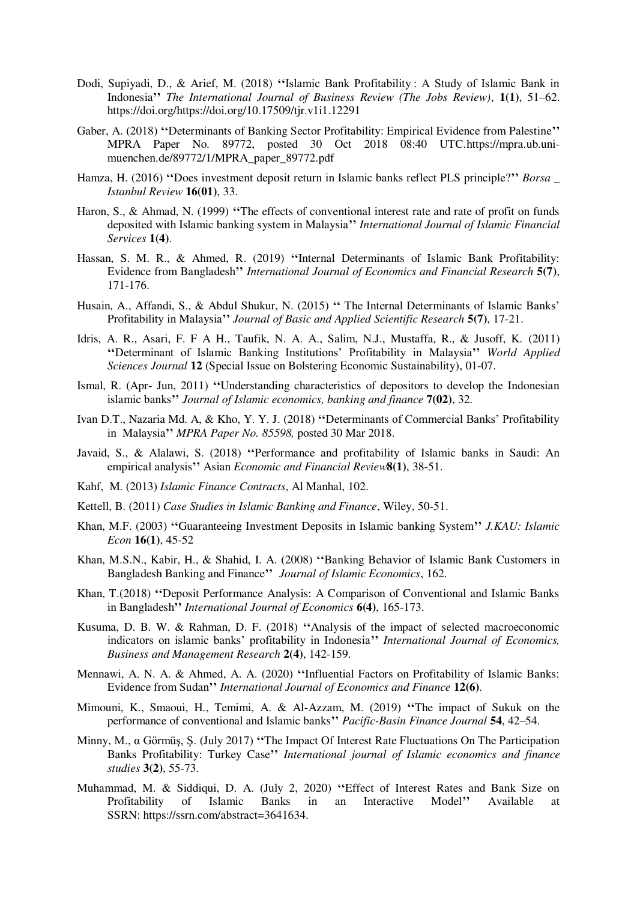- Dodi, Supiyadi, D., & Arief, M. (2018) **''**Islamic Bank Profitability : A Study of Islamic Bank in Indonesia**''** *The International Journal of Business Review (The Jobs Review)*, **1(1)**, 51–62. https://doi.org/https://doi.org/10.17509/tjr.v1i1.12291
- Gaber, A. (2018) **''**Determinants of Banking Sector Profitability: Empirical Evidence from Palestine**''** MPRA Paper No. 89772, posted 30 Oct 2018 08:40 UTC[.https://mpra.ub.uni](https://mpra.ub.uni-muenchen.de/89772/1/MPRA_paper_89772.pdf)[muenchen.de/89772/1/MPRA\\_paper\\_89772.pdf](https://mpra.ub.uni-muenchen.de/89772/1/MPRA_paper_89772.pdf)
- Hamza, H. (2016) **''**Does investment deposit return in Islamic banks reflect PLS principle?**''** *Borsa \_ Istanbul Review* **16(01)**, 33.
- Haron, S., & Ahmad, N. (1999) **''**The effects of conventional interest rate and rate of profit on funds deposited with Islamic banking system in Malaysia**''** *International Journal of Islamic Financial Services* **1(4)**.
- Hassan, S. M. R., & Ahmed, R. (2019) **''**Internal Determinants of Islamic Bank Profitability: Evidence from Bangladesh**''** *International Journal of Economics and Financial Research* **5(7)**, 171-176.
- Husain, A., Affandi, S., & Abdul Shukur, N. (2015) **''** The Internal Determinants of Islamic Banks' Profitability in Malaysia**''** *Journal of Basic and Applied Scientific Research* **5(7)**, 17-21.
- Idris, A. R., Asari, F. F A H., Taufik, N. A. A., Salim, N.J., Mustaffa, R., & Jusoff, K. (2011) **''**Determinant of Islamic Banking Institutions' Profitability in Malaysia**''** *World Applied Sciences Journal* **12** (Special Issue on Bolstering Economic Sustainability), 01-07.
- Ismal, R. (Apr- Jun, 2011) **''**Understanding characteristics of depositors to develop the Indonesian islamic banks**''** *Journal of Islamic economics, banking and finance* **7(02)**, 32.
- Ivan D.T., Nazaria Md. A, & Kho, Y. Y. J. (2018) **''**Determinants of Commercial Banks' Profitability in Malaysia**''** *MPRA Paper No. 85598,* posted 30 Mar 2018.
- Javaid, S., & Alalawi, S. (2018) **''**Performance and profitability of Islamic banks in Saudi: An empirical analysis**''** Asian *Economic and Financial Review***8(1)**, 38-51.
- [Kahf,](https://www.google.dz/search?hl=fr&tbo=p&tbm=bks&q=inauthor:%22MONZER+KAHF%22) M. (2013) *Islamic Finance Contracts*, Al Manhal, 102.
- Kettell, B. (2011) *Case Studies in Islamic Banking and Finance*, Wiley, 50-51.
- Khan, M.F. (2003) **''**Guaranteeing Investment Deposits in Islamic banking System**''** *J.KAU: Islamic Econ* **16(1)**, 45-52
- Khan, M.S.N., Kabir, H., & Shahid, I. A. (2008) **''**Banking Behavior of Islamic Bank Customers in Bangladesh Banking and Finance**''** *Journal of Islamic Economics*, 162.
- Khan, T.(2018) **''**Deposit Performance Analysis: A Comparison of Conventional and Islamic Banks in Bangladesh**''** *International Journal of Economics* **6(4)**, 165-173.
- Kusuma, D. B. W. & Rahman, D. F. (2018) **''**Analysis of the impact of selected macroeconomic indicators on islamic banks' profitability in Indonesia**''** *International Journal of Economics, Business and Management Research* **2(4)**, 142-159.
- Mennawi, A. N. A. & Ahmed, A. A. (2020) **''**Influential Factors on Profitability of Islamic Banks: Evidence from Sudan**''** *International Journal of Economics and Finance* **12(6)**.
- Mimouni, K., Smaoui, H., Temimi, A. & Al-Azzam, M. (2019) **''**The impact of Sukuk on the performance of conventional and Islamic banks**''** *Pacific-Basin Finance Journal* **54**, 42–54.
- Minny, M., α Görmüş, Ş. (July 2017) **''**The Impact Of Interest Rate Fluctuations On The Participation Banks Profitability: Turkey Case**''** *International journal of Islamic economics and finance studies* **3(2)**, 55-73.
- Muhammad, M. & Siddiqui, D. A. (July 2, 2020) **''**Effect of Interest Rates and Bank Size on Profitability of Islamic Banks in an Interactive Model**''** Available at SSRN[: https://ssrn.com/abstract=3641634.](https://ssrn.com/abstract=3641634)